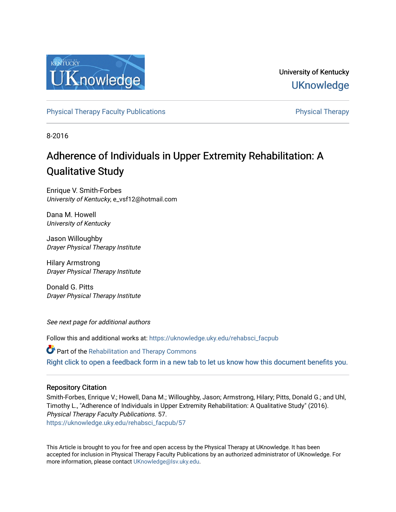

University of Kentucky **UKnowledge** 

[Physical Therapy Faculty Publications](https://uknowledge.uky.edu/rehabsci_facpub) **Physical Therapy** Physical Therapy

8-2016

## Adherence of Individuals in Upper Extremity Rehabilitation: A Qualitative Study

Enrique V. Smith-Forbes University of Kentucky, e\_vsf12@hotmail.com

Dana M. Howell University of Kentucky

Jason Willoughby Drayer Physical Therapy Institute

Hilary Armstrong Drayer Physical Therapy Institute

Donald G. Pitts Drayer Physical Therapy Institute

See next page for additional authors

Follow this and additional works at: [https://uknowledge.uky.edu/rehabsci\\_facpub](https://uknowledge.uky.edu/rehabsci_facpub?utm_source=uknowledge.uky.edu%2Frehabsci_facpub%2F57&utm_medium=PDF&utm_campaign=PDFCoverPages) 

Part of the [Rehabilitation and Therapy Commons](http://network.bepress.com/hgg/discipline/749?utm_source=uknowledge.uky.edu%2Frehabsci_facpub%2F57&utm_medium=PDF&utm_campaign=PDFCoverPages)  [Right click to open a feedback form in a new tab to let us know how this document benefits you.](https://uky.az1.qualtrics.com/jfe/form/SV_9mq8fx2GnONRfz7)

#### Repository Citation

Smith-Forbes, Enrique V.; Howell, Dana M.; Willoughby, Jason; Armstrong, Hilary; Pitts, Donald G.; and Uhl, Timothy L., "Adherence of Individuals in Upper Extremity Rehabilitation: A Qualitative Study" (2016). Physical Therapy Faculty Publications. 57. [https://uknowledge.uky.edu/rehabsci\\_facpub/57](https://uknowledge.uky.edu/rehabsci_facpub/57?utm_source=uknowledge.uky.edu%2Frehabsci_facpub%2F57&utm_medium=PDF&utm_campaign=PDFCoverPages)

This Article is brought to you for free and open access by the Physical Therapy at UKnowledge. It has been accepted for inclusion in Physical Therapy Faculty Publications by an authorized administrator of UKnowledge. For more information, please contact [UKnowledge@lsv.uky.edu](mailto:UKnowledge@lsv.uky.edu).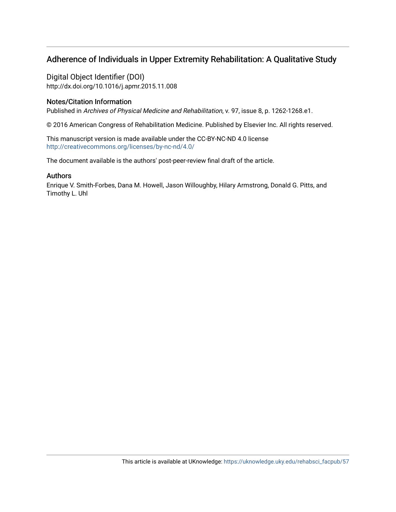### Adherence of Individuals in Upper Extremity Rehabilitation: A Qualitative Study

Digital Object Identifier (DOI) http://dx.doi.org/10.1016/j.apmr.2015.11.008

#### Notes/Citation Information

Published in Archives of Physical Medicine and Rehabilitation, v. 97, issue 8, p. 1262-1268.e1.

© 2016 American Congress of Rehabilitation Medicine. Published by Elsevier Inc. All rights reserved.

This manuscript version is made available under the CC-BY-NC-ND 4.0 license <http://creativecommons.org/licenses/by-nc-nd/4.0/>

The document available is the authors' post-peer-review final draft of the article.

#### Authors

Enrique V. Smith-Forbes, Dana M. Howell, Jason Willoughby, Hilary Armstrong, Donald G. Pitts, and Timothy L. Uhl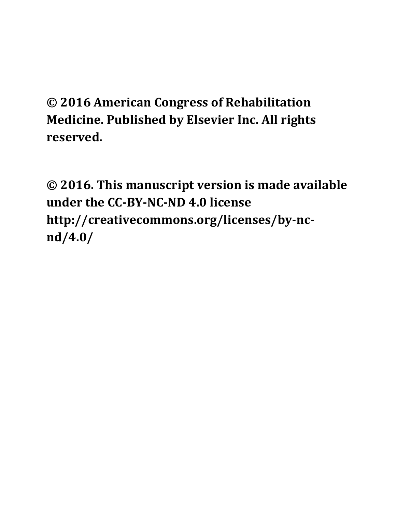# **© 2016 American Congress of Rehabilitation Medicine. Published by Elsevier Inc. All rights reserved.**

**© 2016. This manuscript version is made available under the CC‐BY‐NC‐ND 4.0 license http://creativecommons.org/licenses/by‐nc‐ nd/4.0/**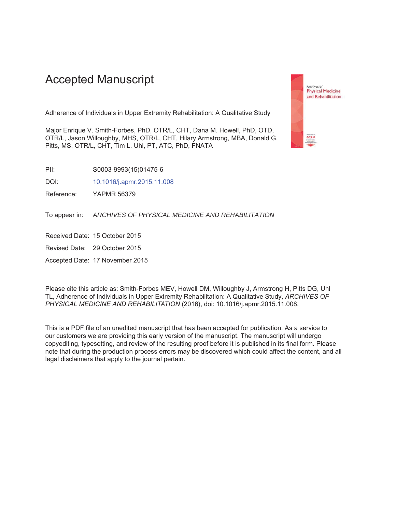## **Accepted Manuscript**

Adherence of Individuals in Upper Extremity Rehabilitation: A Qualitative Study

Major Enrique V. Smith-Forbes, PhD, OTR/L, CHT, Dana M. Howell, PhD, OTD, OTR/L, Jason Willoughby, MHS, OTR/L, CHT, Hilary Armstrong, MBA, Donald G. Pitts, MS, OTR/L, CHT, Tim L. Uhl, PT, ATC, PhD, FNATA

 $PII:$ S0003-9993(15)01475-6

DOI: 10.1016/j.apmr.2015.11.008

Reference: **YAPMR 56379** 

ARCHIVES OF PHYSICAL MEDICINE AND REHABILITATION To appear in:

Received Date: 15 October 2015

Revised Date: 29 October 2015

Accepted Date: 17 November 2015

Please cite this article as: Smith-Forbes MEV, Howell DM, Willoughby J, Armstrong H, Pitts DG, Uhl TL, Adherence of Individuals in Upper Extremity Rehabilitation: A Qualitative Study, ARCHIVES OF PHYSICAL MEDICINE AND REHABILITATION (2016), doi: 10.1016/j.apmr.2015.11.008.

This is a PDF file of an unedited manuscript that has been accepted for publication. As a service to our customers we are providing this early version of the manuscript. The manuscript will undergo copyediting, typesetting, and review of the resulting proof before it is published in its final form. Please note that during the production process errors may be discovered which could affect the content, and all legal disclaimers that apply to the journal pertain.

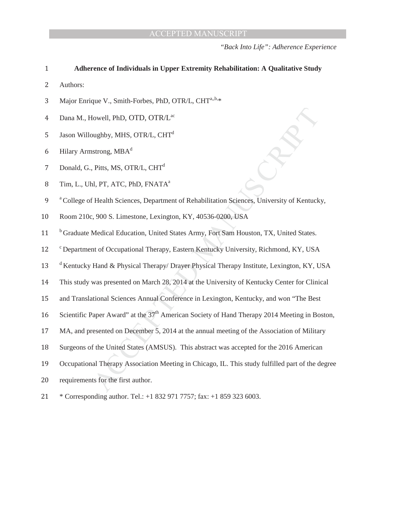*"Back Into Life": Adherence Experience* 

#### **Adherence of Individuals in Upper Extremity Rehabilitation: A Qualitative Study**

2 Authors:

- 3 Major Enrique V., Smith-Forbes, PhD, OTR/L, CHT<sup>a,,b,\*</sup>
- 4 Dana M., Howell, PhD, OTD, OTR/L<sup>ac</sup>
- 5 Jason Willoughby, MHS, OTR/L,  $CHT<sup>d</sup>$
- 6 Hilary Armstrong,  $MBA<sup>d</sup>$
- 7 Donald, G., Pitts, MS, OTR/L, CHT<sup>d</sup>
- 8 Tim, L., Uhl, PT, ATC, PhD, FNATA<sup>a</sup>
- Enabilitation Sciences, University of Kentuck<br>
1. 40536-0200, USA<br>
1. Apple Sciences, University of Kentuck<br>
1. Apple Sciences (Manuscript Sciences)<br>
1. Applement Decimation Comparison<br>
1. Applement Decimation Comparison<br> <sup>a</sup> College of Health Sciences, Department of Rehabilitation Sciences, University of Kentucky,
- 10 Room 210c, 900 S. Limestone, Lexington, KY, 40536-0200, USA
- <sup>b</sup> Graduate Medical Education, United States Army, Fort Sam Houston, TX, United States.
- 12 <sup>c</sup> Department of Occupational Therapy, Eastern Kentucky University, Richmond, KY, USA
- Hand & Physical Therapy/ Drayer Phy<br>was presented on March 28, 2014 at the<br>tional Sciences Annual Conference in<br>'aper Award'' at the  $37<sup>th</sup>$  American Soc<br>resented on December 5, 2014 at the ar<br>f the United States (AMS 13 d Kentucky Hand & Physical Therapy/ Drayer Physical Therapy Institute, Lexington, KY, USA
- 14 This study was presented on March 28, 2014 at the University of Kentucky Center for Clinical
- 15 and Translational Sciences Annual Conference in Lexington, Kentucky, and won "The Best"
- 16 Scientific Paper Award" at the 37<sup>th</sup> American Society of Hand Therapy 2014 Meeting in Boston,
- 17 MA, and presented on December 5, 2014 at the annual meeting of the Association of Military
- 18 Surgeons of the United States (AMSUS). This abstract was accepted for the 2016 American
- 19 Occupational Therapy Association Meeting in Chicago, IL. This study fulfilled part of the degree
- 20 requirements for the first author.
- 21 \* Corresponding author. Tel.: +1 832 971 7757; fax: +1 859 323 6003.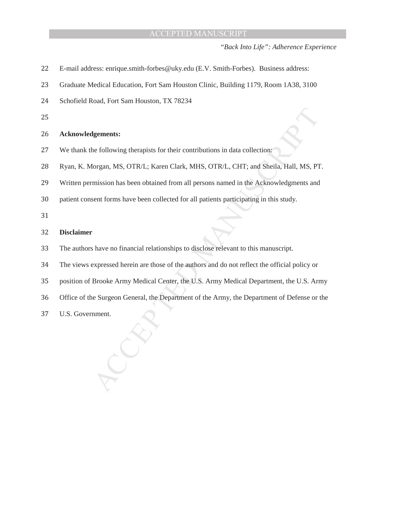*"Back Into Life": Adherence Experience* 

- 22 E-mail address: enrique.smith-forbes@uky.edu (E.V. Smith-Forbes). Business address:
- 23 Graduate Medical Education, Fort Sam Houston Clinic, Building 1179, Room 1A38, 3100
- 24 Schofield Road, Fort Sam Houston, TX 78234
- 25

#### ʹ **Acknowledgements:**

- 27 We thank the following therapists for their contributions in data collection:
- Intributions in data collection:<br>MHS, OTR/L, CHT; and Sheila, Hall, MS, PT<br>persons named in the Acknowledgments and<br>all patients participating in this study.<br>disclose relevant to this manuscript. 28 Ryan, K. Morgan, MS, OTR/L; Karen Clark, MHS, OTR/L, CHT; and Sheila, Hall, MS, PT.
- 29 Written permission has been obtained from all persons named in the Acknowledgments and
- 30 patient consent forms have been collected for all patients participating in this study.

31

#### ͵ʹ **Disclaimer**

- 33 The authors have no financial relationships to disclose relevant to this manuscript.
- expressed herein are those of the author<br>Brooke Army Medical Center, the U.S<br>ne Surgeon General, the Department of<br>nment. ͵Ͷ The views expressed herein are those of the authors and do not reflect the official policy or
- 35 position of Brooke Army Medical Center, the U.S. Army Medical Department, the U.S. Army
- 36 Office of the Surgeon General, the Department of the Army, the Department of Defense or the
- 37 U.S. Government.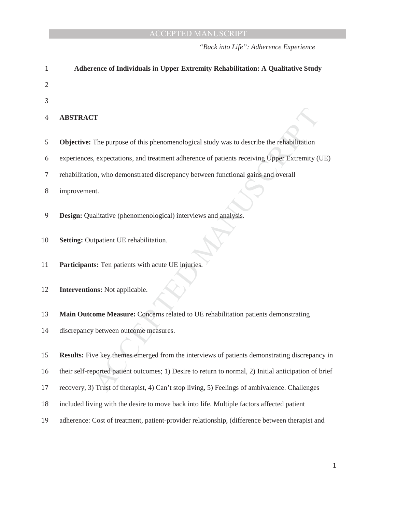*"Back into Life": Adherence Experience* 

| $\mathbf{1}$ | <b>Adherence of Individuals in Upper Extremity Rehabilitation: A Qualitative Study</b>                |
|--------------|-------------------------------------------------------------------------------------------------------|
| 2            |                                                                                                       |
| 3            |                                                                                                       |
| 4            | <b>ABSTRACT</b>                                                                                       |
| 5            | <b>Objective:</b> The purpose of this phenomenological study was to describe the rehabilitation       |
| 6            | experiences, expectations, and treatment adherence of patients receiving Upper Extremity (UE)         |
| 7            | rehabilitation, who demonstrated discrepancy between functional gains and overall                     |
| 8            | improvement.                                                                                          |
| 9            | <b>Design:</b> Qualitative (phenomenological) interviews and analysis.                                |
| 10           | Setting: Outpatient UE rehabilitation.                                                                |
| 11           | Participants: Ten patients with acute UE injuries.                                                    |
| 12           | <b>Interventions:</b> Not applicable.                                                                 |
| 13           | Main Outcome Measure: Concerns related to UE rehabilitation patients demonstrating                    |
| 14           | discrepancy between outcome measures.                                                                 |
|              |                                                                                                       |
| 15           | <b>Results:</b> Five key themes emerged from the interviews of patients demonstrating discrepancy in  |
| 16           | their self-reported patient outcomes; 1) Desire to return to normal, 2) Initial anticipation of brief |
| 17           | recovery, 3) Trust of therapist, 4) Can't stop living, 5) Feelings of ambivalence. Challenges         |
| 18           | included living with the desire to move back into life. Multiple factors affected patient             |
| 19           | adherence: Cost of treatment, patient-provider relationship, (difference between therapist and        |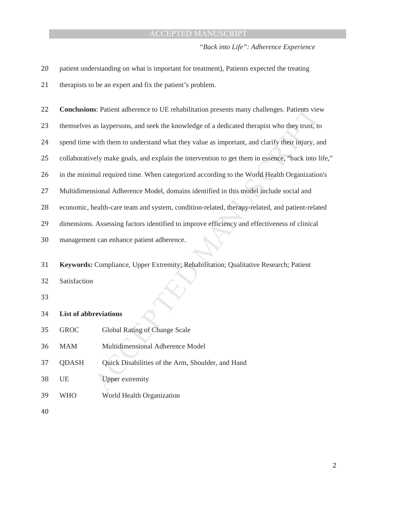*"Back into Life": Adherence Experience* 

| 20 |                              | patient understanding on what is important for treatment), Patients expected the treating          |
|----|------------------------------|----------------------------------------------------------------------------------------------------|
| 21 |                              | therapists to be an expert and fix the patient's problem.                                          |
| 22 |                              | <b>Conclusions:</b> Patient adherence to UE rehabilitation presents many challenges. Patients view |
| 23 |                              | themselves as laypersons, and seek the knowledge of a dedicated therapist who they trust, to       |
| 24 |                              | spend time with them to understand what they value as important, and clarify their injury, and     |
| 25 |                              | collaboratively make goals, and explain the intervention to get them in essence, "back into life," |
| 26 |                              | in the minimal required time. When categorized according to the World Health Organization's        |
| 27 |                              | Multidimensional Adherence Model, domains identified in this model include social and              |
| 28 |                              | economic, health-care team and system, condition-related, therapy-related, and patient-related     |
| 29 |                              | dimensions. Assessing factors identified to improve efficiency and effectiveness of clinical       |
| 30 |                              | management can enhance patient adherence.                                                          |
| 31 |                              | Keywords: Compliance, Upper Extremity; Rehabilitation; Qualitative Research; Patient               |
| 32 | Satisfaction                 |                                                                                                    |
| 33 |                              |                                                                                                    |
| 34 | <b>List of abbreviations</b> |                                                                                                    |
| 35 | <b>GROC</b>                  | Global Rating of Change Scale                                                                      |
| 36 | <b>MAM</b>                   | Multidimensional Adherence Model                                                                   |
| 37 | <b>QDASH</b>                 | Quick Disabilities of the Arm, Shoulder, and Hand                                                  |
| 38 | UE                           | <b>Upper extremity</b>                                                                             |
| 39 | <b>WHO</b>                   | World Health Organization                                                                          |
| 40 |                              |                                                                                                    |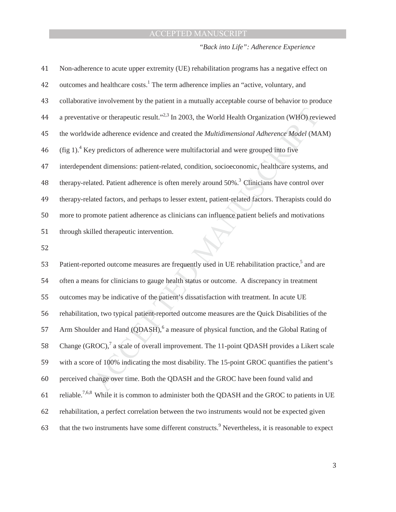*"Back into Life": Adherence Experience* 

| 41 | Non-adherence to acute upper extremity (UE) rehabilitation programs has a negative effect on                |
|----|-------------------------------------------------------------------------------------------------------------|
| 42 | outcomes and healthcare costs. <sup>1</sup> The term adherence implies an "active, voluntary, and           |
| 43 | collaborative involvement by the patient in a mutually acceptable course of behavior to produce             |
| 44 | a preventative or therapeutic result." <sup>2,3</sup> In 2003, the World Health Organization (WHO) reviewed |
| 45 | the worldwide adherence evidence and created the Multidimensional Adherence Model (MAM)                     |
| 46 | $(\text{fig 1})$ . <sup>4</sup> Key predictors of adherence were multifactorial and were grouped into five  |
| 47 | interdependent dimensions: patient-related, condition, socioeconomic, healthcare systems, and               |
| 48 | therapy-related. Patient adherence is often merely around 50%. <sup>3</sup> Clinicians have control over    |
| 49 | therapy-related factors, and perhaps to lesser extent, patient-related factors. Therapists could do         |
| 50 | more to promote patient adherence as clinicians can influence patient beliefs and motivations               |
| 51 | through skilled therapeutic intervention.                                                                   |
| 52 |                                                                                                             |
| 53 | Patient-reported outcome measures are frequently used in UE rehabilitation practice, <sup>5</sup> and are   |

orted outcome measures are frequently<br>nns for clinicians to gauge health status<br>nay be indicative of the patient's dissat<br>on, two typical patient-reported outcon<br>der and Hand (QDASH),<sup>6</sup> a measure of<br>ROC),<sup>7</sup> a scale of ov 54 often a means for clinicians to gauge health status or outcome. A discrepancy in treatment 55 outcomes may be indicative of the patient's dissatisfaction with treatment. In acute UE 56 rehabilitation, two typical patient-reported outcome measures are the Quick Disabilities of the 57 Arm Shoulder and Hand (QDASH),<sup>6</sup> a measure of physical function, and the Global Rating of 58 Change (GROC),<sup>7</sup> a scale of overall improvement. The 11-point QDASH provides a Likert scale 59 with a score of 100% indicating the most disability. The 15-point GROC quantifies the patient's 60 perceived change over time. Both the QDASH and the GROC have been found valid and reliable. ͳ 7,6,8 While it is common to administer both the QDASH and the GROC to patients in UE 62 rehabilitation, a perfect correlation between the two instruments would not be expected given 63 that the two instruments have some different constructs.<sup>9</sup> Nevertheless, it is reasonable to expect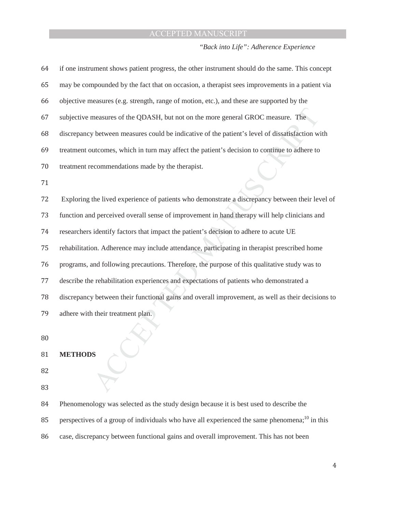#### *"Back into Life": Adherence Experience*

| 64 | if one instrument shows patient progress, the other instrument should do the same. This concept   |
|----|---------------------------------------------------------------------------------------------------|
| 65 | may be compounded by the fact that on occasion, a therapist sees improvements in a patient via    |
| 66 | objective measures (e.g. strength, range of motion, etc.), and these are supported by the         |
| 67 | subjective measures of the QDASH, but not on the more general GROC measure. The                   |
| 68 | discrepancy between measures could be indicative of the patient's level of dissatisfaction with   |
| 69 | treatment outcomes, which in turn may affect the patient's decision to continue to adhere to      |
| 70 | treatment recommendations made by the therapist.                                                  |
| 71 |                                                                                                   |
| 72 | Exploring the lived experience of patients who demonstrate a discrepancy between their level of   |
| 73 | function and perceived overall sense of improvement in hand therapy will help clinicians and      |
| 74 | researchers identify factors that impact the patient's decision to adhere to acute UE             |
| 75 | rehabilitation. Adherence may include attendance, participating in therapist prescribed home      |
| 76 | programs, and following precautions. Therefore, the purpose of this qualitative study was to      |
| 77 | describe the rehabilitation experiences and expectations of patients who demonstrated a           |
| 78 | discrepancy between their functional gains and overall improvement, as well as their decisions to |
| 79 | adhere with their treatment plan.                                                                 |
|    |                                                                                                   |

 $80$ 

#### 81 **METHODS**

ͺʹ

83

84 Phenomenology was selected as the study design because it is best used to describe the

 $\widetilde{C}$ 

- perspectives of a group of individuals who have all experienced the same phenomena;<sup>10</sup> in this
- 86 case, discrepancy between functional gains and overall improvement. This has not been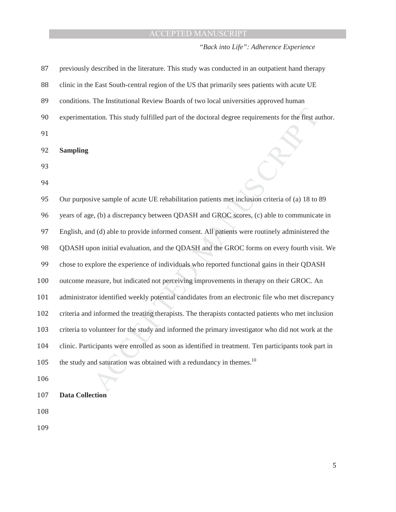*"Back into Life": Adherence Experience* 

| 87  | previously described in the literature. This study was conducted in an outpatient hand therapy       |
|-----|------------------------------------------------------------------------------------------------------|
| 88  | clinic in the East South-central region of the US that primarily sees patients with acute UE         |
| 89  | conditions. The Institutional Review Boards of two local universities approved human                 |
| 90  | experimentation. This study fulfilled part of the doctoral degree requirements for the first author. |
| 91  |                                                                                                      |
| 92  | <b>Sampling</b>                                                                                      |
| 93  |                                                                                                      |
| 94  |                                                                                                      |
| 95  | Our purposive sample of acute UE rehabilitation patients met inclusion criteria of (a) 18 to 89      |
| 96  | years of age, (b) a discrepancy between QDASH and GROC scores, (c) able to communicate in            |
| 97  | English, and (d) able to provide informed consent. All patients were routinely administered the      |
| 98  | QDASH upon initial evaluation, and the QDASH and the GROC forms on every fourth visit. We            |
| 99  | chose to explore the experience of individuals who reported functional gains in their QDASH          |
| 100 | outcome measure, but indicated not perceiving improvements in therapy on their GROC. An              |
| 101 | administrator identified weekly potential candidates from an electronic file who met discrepancy     |
| 102 | criteria and informed the treating therapists. The therapists contacted patients who met inclusion   |
| 103 | criteria to volunteer for the study and informed the primary investigator who did not work at the    |
| 104 | clinic. Participants were enrolled as soon as identified in treatment. Ten participants took part in |
| 105 | the study and saturation was obtained with a redundancy in themes. <sup>10</sup>                     |
| 106 |                                                                                                      |
| 107 | <b>Data Collection</b>                                                                               |
| 108 |                                                                                                      |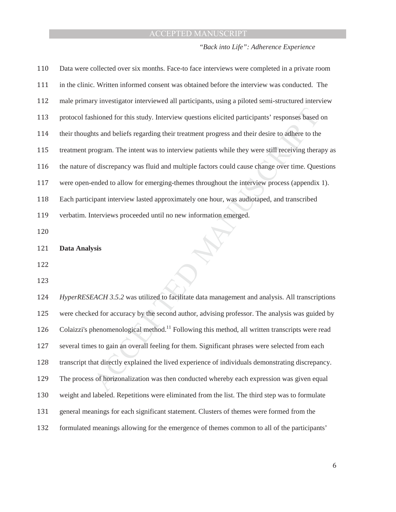*"Back into Life": Adherence Experience* 

| 110 | Data were collected over six months. Face-to face interviews were completed in a private room              |
|-----|------------------------------------------------------------------------------------------------------------|
| 111 | in the clinic. Written informed consent was obtained before the interview was conducted. The               |
| 112 | male primary investigator interviewed all participants, using a piloted semi-structured interview          |
| 113 | protocol fashioned for this study. Interview questions elicited participants' responses based on           |
| 114 | their thoughts and beliefs regarding their treatment progress and their desire to adhere to the            |
| 115 | treatment program. The intent was to interview patients while they were still receiving therapy as         |
| 116 | the nature of discrepancy was fluid and multiple factors could cause change over time. Questions           |
| 117 | were open-ended to allow for emerging-themes throughout the interview process (appendix 1).                |
| 118 | Each participant interview lasted approximately one hour, was audiotaped, and transcribed                  |
| 119 | verbatim. Interviews proceeded until no new information emerged.                                           |
| 120 |                                                                                                            |
| 121 | <b>Data Analysis</b>                                                                                       |
| 122 |                                                                                                            |
| 123 |                                                                                                            |
| 124 | HyperRESEACH 3.5.2 was utilized to facilitate data management and analysis. All transcriptions             |
| 125 | were checked for accuracy by the second author, advising professor. The analysis was guided by             |
| 126 | Colaizzi's phenomenological method. <sup>11</sup> Following this method, all written transcripts were read |
| 127 | several times to gain an overall feeling for them. Significant phrases were selected from each             |
| 128 | transcript that directly explained the lived experience of individuals demonstrating discrepancy.          |
| 129 | The process of horizonalization was then conducted whereby each expression was given equal                 |
| 130 | weight and labeled. Repetitions were eliminated from the list. The third step was to formulate             |
| 131 | general meanings for each significant statement. Clusters of themes were formed from the                   |
| 132 | formulated meanings allowing for the emergence of themes common to all of the participants'                |

 $\sqrt{6}$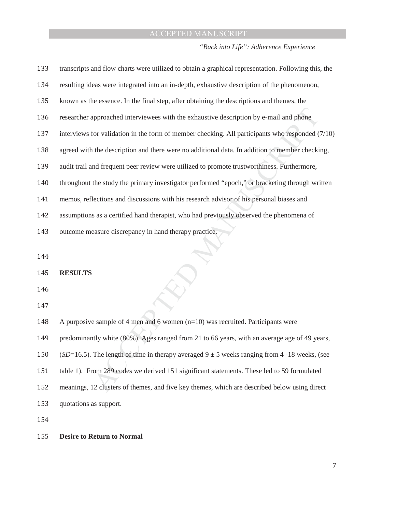*"Back into Life": Adherence Experience* 

| 133 | transcripts and flow charts were utilized to obtain a graphical representation. Following this, the |
|-----|-----------------------------------------------------------------------------------------------------|
| 134 | resulting ideas were integrated into an in-depth, exhaustive description of the phenomenon,         |
| 135 | known as the essence. In the final step, after obtaining the descriptions and themes, the           |
| 136 | researcher approached interviewees with the exhaustive description by e-mail and phone              |
| 137 | interviews for validation in the form of member checking. All participants who responded $(7/10)$   |
| 138 | agreed with the description and there were no additional data. In addition to member checking,      |
| 139 | audit trail and frequent peer review were utilized to promote trustworthiness. Furthermore,         |
| 140 | throughout the study the primary investigator performed "epoch," or bracketing through written      |
| 141 | memos, reflections and discussions with his research advisor of his personal biases and             |
| 142 | assumptions as a certified hand therapist, who had previously observed the phenomena of             |
| 143 | outcome measure discrepancy in hand therapy practice.                                               |
|     |                                                                                                     |
| 144 |                                                                                                     |
| 145 | <b>RESULTS</b>                                                                                      |
| 146 |                                                                                                     |
| 147 |                                                                                                     |
| 148 | A purposive sample of 4 men and 6 women $(n=10)$ was recruited. Participants were                   |
| 149 | predominantly white (80%). Ages ranged from 21 to 66 years, with an average age of 49 years,        |
| 150 | (SD=16.5). The length of time in therapy averaged $9 \pm 5$ weeks ranging from 4-18 weeks, (see     |
| 151 | table 1). From 289 codes we derived 151 significant statements. These led to 59 formulated          |
| 152 | meanings, 12 clusters of themes, and five key themes, which are described below using direct        |

153 quotations as support.

154

#### 155 **Desire to Return to Normal**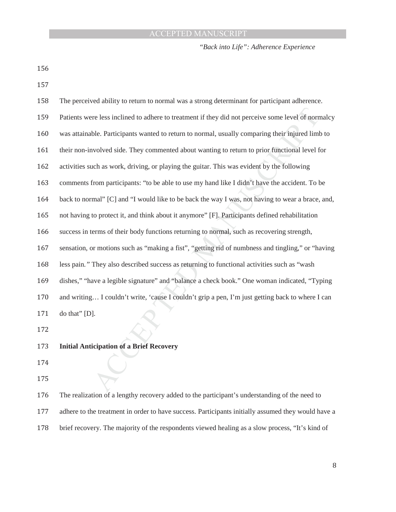*"Back into Life": Adherence Experience* 

156

157

| 158 | The perceived ability to return to normal was a strong determinant for participant adherence.      |
|-----|----------------------------------------------------------------------------------------------------|
| 159 | Patients were less inclined to adhere to treatment if they did not perceive some level of normalcy |
| 160 | was attainable. Participants wanted to return to normal, usually comparing their injured limb to   |
| 161 | their non-involved side. They commented about wanting to return to prior functional level for      |
| 162 | activities such as work, driving, or playing the guitar. This was evident by the following         |
| 163 | comments from participants: "to be able to use my hand like I didn't have the accident. To be      |
| 164 | back to normal" [C] and "I would like to be back the way I was, not having to wear a brace, and,   |
| 165 | not having to protect it, and think about it anymore" [F]. Participants defined rehabilitation     |
| 166 | success in terms of their body functions returning to normal, such as recovering strength,         |
| 167 | sensation, or motions such as "making a fist", "getting rid of numbness and tingling," or "having  |
| 168 | less pain." They also described success as returning to functional activities such as "wash"       |
| 169 | dishes," "have a legible signature" and "balance a check book." One woman indicated, "Typing"      |
| 170 | and writing I couldn't write, 'cause I couldn't grip a pen, I'm just getting back to where I can   |
| 171 | do that" [D].                                                                                      |
| 172 |                                                                                                    |
| 173 | <b>Initial Anticipation of a Brief Recovery</b>                                                    |
| 174 |                                                                                                    |
| 175 |                                                                                                    |
|     |                                                                                                    |

- 174
- 175

176 The realization of a lengthy recovery added to the participant's understanding of the need to 177 adhere to the treatment in order to have success. Participants initially assumed they would have a 178 brief recovery. The majority of the respondents viewed healing as a slow process, "It's kind of

 $\, 8$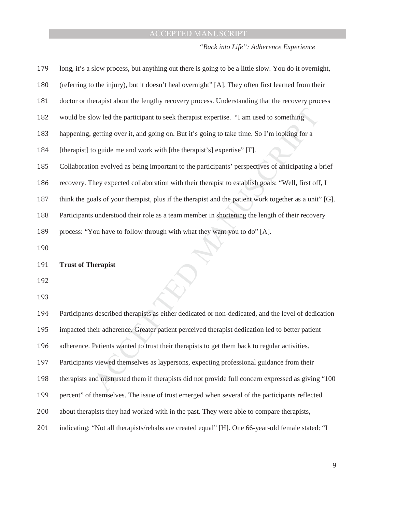*"Back into Life": Adherence Experience* 

| long, it's a slow process, but anything out there is going to be a little slow. You do it overnight,   |
|--------------------------------------------------------------------------------------------------------|
| (referring to the injury), but it doesn't heal overnight" [A]. They often first learned from their     |
| doctor or therapist about the lengthy recovery process. Understanding that the recovery process        |
| would be slow led the participant to seek therapist expertise. "I am used to something                 |
| happening, getting over it, and going on. But it's going to take time. So I'm looking for a            |
| [therapist] to guide me and work with [the therapist's] expertise" [F].                                |
| Collaboration evolved as being important to the participants' perspectives of anticipating a brief     |
| recovery. They expected collaboration with their therapist to establish goals: "Well, first off, I     |
| think the goals of your therapist, plus if the therapist and the patient work together as a unit" [G]. |
| Participants understood their role as a team member in shortening the length of their recovery         |
| process: "You have to follow through with what they want you to do" [A].                               |
|                                                                                                        |
| <b>Trust of Therapist</b>                                                                              |
|                                                                                                        |
|                                                                                                        |
|                                                                                                        |

Marketingthermannistics as either dedicate<br>
Accept adherence. Greater patient perceive<br>
Patients wanted to trust their therapists<br>
Similarly viewed themselves as laypersons, exp<br>
And mistrusted them if therapists did no 194 Participants described therapists as either dedicated or non-dedicated, and the level of dedication 195 impacted their adherence. Greater patient perceived therapist dedication led to better patient 196 adherence. Patients wanted to trust their therapists to get them back to regular activities. 197 Participants viewed themselves as laypersons, expecting professional guidance from their 198 therapists and mistrusted them if therapists did not provide full concern expressed as giving "100 199 percent" of themselves. The issue of trust emerged when several of the participants reflected 200 about therapists they had worked with in the past. They were able to compare therapists, 201 indicating: "Not all therapists/rehabs are created equal" [H]. One 66-year-old female stated: "I

ͻ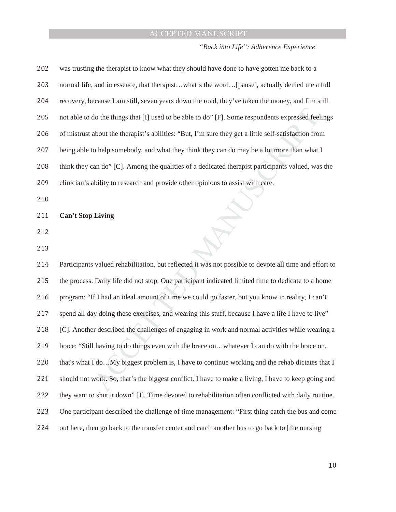*"Back into Life": Adherence Experience* 

| 202 | was trusting the therapist to know what they should have done to have gotten me back to a              |
|-----|--------------------------------------------------------------------------------------------------------|
| 203 | normal life, and in essence, that therapistwhat's the word[pause], actually denied me a full           |
| 204 | recovery, because I am still, seven years down the road, they've taken the money, and I'm still        |
| 205 | not able to do the things that [I] used to be able to do" [F]. Some respondents expressed feelings     |
| 206 | of mistrust about the therapist's abilities: "But, I'm sure they get a little self-satisfaction from   |
| 207 | being able to help somebody, and what they think they can do may be a lot more than what I             |
| 208 | think they can do" [C]. Among the qualities of a dedicated therapist participants valued, was the      |
| 209 | clinician's ability to research and provide other opinions to assist with care.                        |
| 210 |                                                                                                        |
| 211 | <b>Can't Stop Living</b>                                                                               |
| 212 |                                                                                                        |
| 213 |                                                                                                        |
| 214 | Participants valued rehabilitation, but reflected it was not possible to devote all time and effort to |
| 215 | the process. Daily life did not stop. One participant indicated limited time to dedicate to a home     |
| 216 | program: "If I had an ideal amount of time we could go faster, but you know in reality, I can't        |
| 217 | spend all day doing these exercises, and wearing this stuff, because I have a life I have to live"     |
| 218 | [C]. Another described the challenges of engaging in work and normal activities while wearing a        |
| 219 | brace: "Still having to do things even with the brace onwhatever I can do with the brace on,           |
| 220 | that's what I doMy biggest problem is, I have to continue working and the rehab dictates that I        |
| 221 | should not work. So, that's the biggest conflict. I have to make a living, I have to keep going and    |
| 222 | they want to shut it down" [J]. Time devoted to rehabilitation often conflicted with daily routine.    |
| 223 | One participant described the challenge of time management: "First thing catch the bus and come        |
| 224 | out here, then go back to the transfer center and catch another bus to go back to [the nursing         |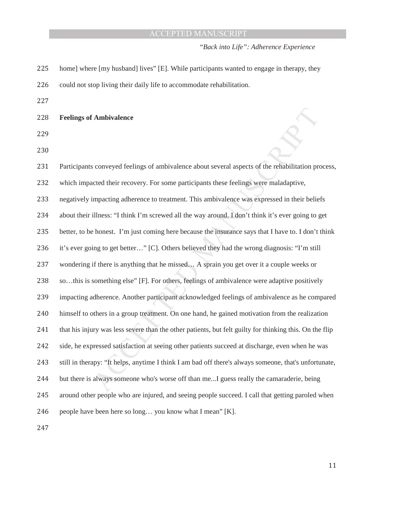*"Back into Life": Adherence Experience* 

- 225 home] where [my husband] lives" [E]. While participants wanted to engage in therapy, they 226 could not stop living their daily life to accommodate rehabilitation.
- 227

228 **Feelings of Ambivalence** 

229

230

about several aspects of the rehabilitation procipants these feelings were maladaptive,<br>This ambivalence was expressed in their belie<br>way around. I don't think it's ever going to g<br>ause the insurance says that I have to. I if there is anything that he missed... A<br>something else" [F]. For others, feeling<br>adherence. Another participant acknow<br>others in a group treatment. On one han<br>ury was less severe than the other patie<br>pressed satisfaction 231 Participants conveyed feelings of ambivalence about several aspects of the rehabilitation process, 232 which impacted their recovery. For some participants these feelings were maladaptive, 233 negatively impacting adherence to treatment. This ambivalence was expressed in their beliefs 234 about their illness: "I think I'm screwed all the way around. I don't think it's ever going to get 235 better, to be honest. I'm just coming here because the insurance says that I have to. I don't think 236 it's ever going to get better..." [C]. Others believed they had the wrong diagnosis: "I'm still 237 wondering if there is anything that he missed... A sprain you get over it a couple weeks or 238 so...this is something else" [F]. For others, feelings of ambivalence were adaptive positively 239 impacting adherence. Another participant acknowledged feelings of ambivalence as he compared 240 himself to others in a group treatment. On one hand, he gained motivation from the realization 241 that his injury was less severe than the other patients, but felt guilty for thinking this. On the flip 242 side, he expressed satisfaction at seeing other patients succeed at discharge, even when he was 243 still in therapy: "It helps, anytime I think I am bad off there's always someone, that's unfortunate, 244 but there is always someone who's worse off than me...I guess really the camaraderie, being 245 around other people who are injured, and seeing people succeed. I call that getting paroled when 246 people have been here so long... you know what I mean"  $[K]$ .

247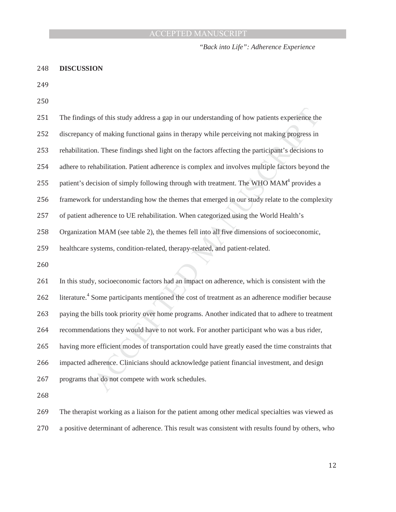*"Back into Life": Adherence Experience* 

#### 248 **DISCUSSION**

249

250

| 251 | The findings of this study address a gap in our understanding of how patients experience the                |
|-----|-------------------------------------------------------------------------------------------------------------|
| 252 | discrepancy of making functional gains in therapy while perceiving not making progress in                   |
| 253 | rehabilitation. These findings shed light on the factors affecting the participant's decisions to           |
| 254 | adhere to rehabilitation. Patient adherence is complex and involves multiple factors beyond the             |
| 255 | patient's decision of simply following through with treatment. The WHO MAM <sup>4</sup> provides a          |
| 256 | framework for understanding how the themes that emerged in our study relate to the complexity               |
| 257 | of patient adherence to UE rehabilitation. When categorized using the World Health's                        |
| 258 | Organization MAM (see table 2), the themes fell into all five dimensions of socioeconomic,                  |
| 259 | healthcare systems, condition-related, therapy-related, and patient-related.                                |
| 260 |                                                                                                             |
| 261 | In this study, socioeconomic factors had an impact on adherence, which is consistent with the               |
| 262 | literature. <sup>4</sup> Some participants mentioned the cost of treatment as an adherence modifier because |
| 263 | paying the bills took priority over home programs. Another indicated that to adhere to treatment            |
| 264 | recommendations they would have to not work. For another participant who was a bus rider,                   |
| 265 | having more efficient modes of transportation could have greatly eased the time constraints that            |
| 266 | impacted adherence. Clinicians should acknowledge patient financial investment, and design                  |
| 267 | programs that do not compete with work schedules.                                                           |
| 268 |                                                                                                             |
| 269 | The therapist working as a liaison for the patient among other medical specialties was viewed as            |
| 270 | a positive determinant of adherence. This result was consistent with results found by others, who           |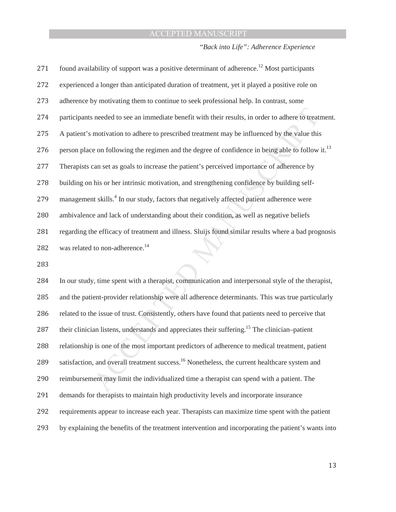*"Back into Life": Adherence Experience* 

| 271 | found availability of support was a positive determinant of adherence. <sup>12</sup> Most participants       |
|-----|--------------------------------------------------------------------------------------------------------------|
| 272 | experienced a longer than anticipated duration of treatment, yet it played a positive role on                |
| 273 | adherence by motivating them to continue to seek professional help. In contrast, some                        |
| 274 | participants needed to see an immediate benefit with their results, in order to adhere to treatment.         |
| 275 | A patient's motivation to adhere to prescribed treatment may be influenced by the value this                 |
| 276 | person place on following the regimen and the degree of confidence in being able to follow it. <sup>13</sup> |
| 277 | Therapists can set as goals to increase the patient's perceived importance of adherence by                   |
| 278 | building on his or her intrinsic motivation, and strengthening confidence by building self-                  |
| 279 | management skills. <sup>4</sup> In our study, factors that negatively affected patient adherence were        |
| 280 | ambivalence and lack of understanding about their condition, as well as negative beliefs                     |
| 281 | regarding the efficacy of treatment and illness. Sluijs found similar results where a bad prognosis          |
| 282 | was related to non-adherence. <sup>14</sup>                                                                  |
| วดว |                                                                                                              |

283

when the spent with a therapist, commund<br>ient-provider relationship were all adhered issue of trust. Consistently, others has<br>an listens, understands and appreciates<br>b is one of the most important predictor<br>and overall tr 284 In our study, time spent with a therapist, communication and interpersonal style of the therapist, 285 and the patient-provider relationship were all adherence determinants. This was true particularly 286 related to the issue of trust. Consistently, others have found that patients need to perceive that 287 their clinician listens, understands and appreciates their suffering.<sup>15</sup> The clinician–patient 288 relationship is one of the most important predictors of adherence to medical treatment, patient 289 satisfaction, and overall treatment success.<sup>16</sup> Nonetheless, the current healthcare system and 290 reimbursement may limit the individualized time a therapist can spend with a patient. The 291 demands for therapists to maintain high productivity levels and incorporate insurance 292 requirements appear to increase each year. Therapists can maximize time spent with the patient 293 by explaining the benefits of the treatment intervention and incorporating the patient's wants into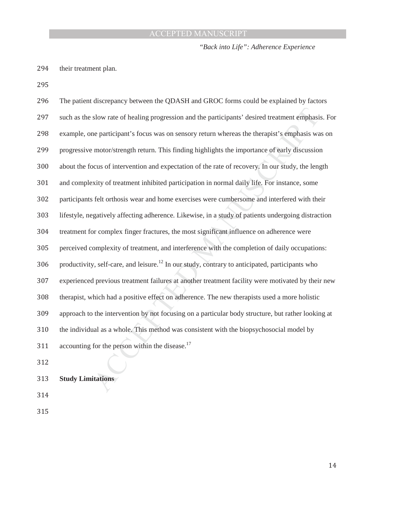*"Back into Life": Adherence Experience* 

294 their treatment plan.

295

| 296 | The patient discrepancy between the QDASH and GROC forms could be explained by factors                      |
|-----|-------------------------------------------------------------------------------------------------------------|
| 297 | such as the slow rate of healing progression and the participants' desired treatment emphasis. For          |
| 298 | example, one participant's focus was on sensory return whereas the therapist's emphasis was on              |
| 299 | progressive motor/strength return. This finding highlights the importance of early discussion               |
| 300 | about the focus of intervention and expectation of the rate of recovery. In our study, the length           |
| 301 | and complexity of treatment inhibited participation in normal daily life. For instance, some                |
| 302 | participants felt orthosis wear and home exercises were cumbersome and interfered with their                |
| 303 | lifestyle, negatively affecting adherence. Likewise, in a study of patients undergoing distraction          |
| 304 | treatment for complex finger fractures, the most significant influence on adherence were                    |
| 305 | perceived complexity of treatment, and interference with the completion of daily occupations:               |
| 306 | productivity, self-care, and leisure. <sup>12</sup> In our study, contrary to anticipated, participants who |
| 307 | experienced previous treatment failures at another treatment facility were motivated by their new           |
| 308 | therapist, which had a positive effect on adherence. The new therapists used a more holistic                |
| 309 | approach to the intervention by not focusing on a particular body structure, but rather looking at          |
| 310 | the individual as a whole. This method was consistent with the biopsychosocial model by                     |
| 311 | accounting for the person within the disease. <sup>17</sup>                                                 |
| 312 |                                                                                                             |
| 313 | <b>Study Limitations</b>                                                                                    |
|     |                                                                                                             |

314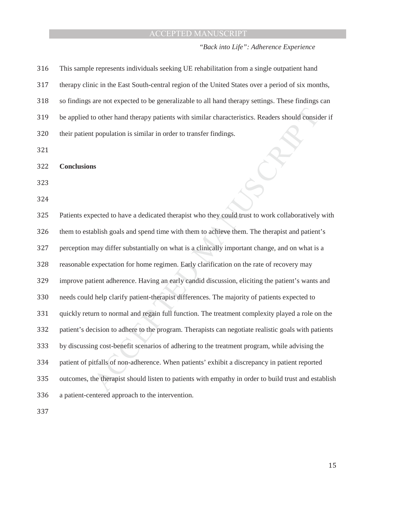### *"Back into Life": Adherence Experience*

| 316 | This sample represents individuals seeking UE rehabilitation from a single outpatient hand           |
|-----|------------------------------------------------------------------------------------------------------|
| 317 | therapy clinic in the East South-central region of the United States over a period of six months,    |
| 318 | so findings are not expected to be generalizable to all hand therapy settings. These findings can    |
| 319 | be applied to other hand therapy patients with similar characteristics. Readers should consider if   |
| 320 | their patient population is similar in order to transfer findings.                                   |
| 321 |                                                                                                      |
| 322 | <b>Conclusions</b>                                                                                   |
| 323 |                                                                                                      |
| 324 |                                                                                                      |
| 325 | Patients expected to have a dedicated therapist who they could trust to work collaboratively with    |
| 326 | them to establish goals and spend time with them to achieve them. The therapist and patient's        |
| 327 | perception may differ substantially on what is a clinically important change, and on what is a       |
| 328 | reasonable expectation for home regimen. Early clarification on the rate of recovery may             |
| 329 | improve patient adherence. Having an early candid discussion, eliciting the patient's wants and      |
| 330 | needs could help clarify patient-therapist differences. The majority of patients expected to         |
| 331 | quickly return to normal and regain full function. The treatment complexity played a role on the     |
| 332 | patient's decision to adhere to the program. Therapists can negotiate realistic goals with patients  |
| 333 | by discussing cost-benefit scenarios of adhering to the treatment program, while advising the        |
| 334 | patient of pitfalls of non-adherence. When patients' exhibit a discrepancy in patient reported       |
| 335 | outcomes, the therapist should listen to patients with empathy in order to build trust and establish |
| 336 | a patient-centered approach to the intervention.                                                     |
| 337 |                                                                                                      |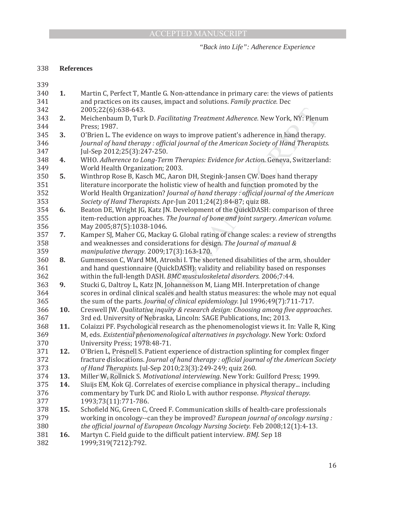#### *"Back into Life": Adherence Experience*

#### ͵͵ͺ **References**

339

Treatment Adherence. New York, NY: Plent<br>mprove patient's adherence in hand therap<br>nal of the American Society of Hand Therapi<br>pies: Evidence for Action. Geneva, Switzerla<br>pH, Stegink-Jansen CW. Does hand therapy<br>w of heal messon C, ward MM, Accosm I. The<br>hand questionnaire (QuickDASH): v<br>hin the full-length DASH. *BMC muscu*<br>cki G, Daltroy L, Katz JN, Johannesson<br>res in ordinal clinical scales and heal<br>sum of the parts. *Journal of clinical* **340 1.** Martin C, Perfect T, Mantle G. Non-attendance in primary care: the views of patients 341 and practices on its causes, impact and solutions. *Family practice*. Dec  $342$   $2005;22(6):638-643.$ **2.** Meichenbaum D, Turk D. Facilitating Treatment Adherence. New York, NY: Plenum 344 Press; 1987. 345 3. O'Brien L. The evidence on ways to improve patient's adherence in hand therapy. 346 *Iournal of hand therapy: official journal of the American Society of Hand Therapists.* 347 [ul-Sep 2012;25(3):247-250. 348 **4.** WHO. Adherence to Long-Term Therapies: Evidence for Action. Geneva, Switzerland: 349 World Health Organization; 2003. **50 5.** Winthrop Rose B, Kasch MC, Aaron DH, Stegink-Jansen CW. Does hand therapy 351 literature incorporate the holistic view of health and function promoted by the 352 World Health Organization? *Journal of hand therapy : official journal of the American* 353 *Society of Hand Therapists. Apr-Jun 2011;24(2):84-87; quiz 88.* 354 **6.** Beaton DE, Wright JG, Katz JN. Development of the QuickDASH: comparison of three 355 item-reduction approaches. The Journal of bone and joint surgery. American volume.  $356$  May  $2005;87(5):1038-1046$ . 357 7. Kamper SJ, Maher CG, Mackay G. Global rating of change scales: a review of strengths 358 and weaknesses and considerations for design. The *Journal of manual &* 359 *manipulative therapy.* 2009;17(3):163-170. 360 **8.** Gummesson C, Ward MM, Atroshi I. The shortened disabilities of the arm, shoulder 361 and hand questionnaire (QuickDASH): validity and reliability based on responses 362 within the full-length DASH. *BMC musculoskeletal disorders.* 2006;7:44. 363 9. Stucki G, Daltroy L, Katz JN, Johannesson M, Liang MH. Interpretation of change 364 scores in ordinal clinical scales and health status measures: the whole may not equal **365** the sum of the parts. *Journal of clinical epidemiology*. Jul 1996;49(7):711-717. 366 **10.** Creswell JW. Qualitative inquiry & research design: Choosing among five approaches. 367 3rd ed. University of Nebraska, Lincoln: SAGE Publications, Inc; 2013. **11.** Colaizzi PF. Psychological research as the phenomenologist views it. In: Valle R, King 369 M, eds. *Existential phenomenological alternatives in psychology*. New York: Oxford 370 University Press; 1978:48-71. 371 **12.** O'Brien L, Presnell S. Patient experience of distraction splinting for complex finger 372 fracture dislocations. Journal of hand therapy : official journal of the American Society 373 *of Hand Therapists.* Jul-Sep 2010;23(3):249-249; quiz 260. 374 **13.** Miller W, Rollnick S. Motivational interviewing. New York: Guilford Press; 1999. 375 **14.** Sluijs EM, Kok GJ. Correlates of exercise compliance in physical therapy... including 376 commentary by Turk DC and Riolo L with author response. *Physical therapy*.  $377$  1993;73(11):771-786. 378 **15.** Schofield NG, Green C, Creed F. Communication skills of health-care professionals 379 working in oncology--can they be improved? *European journal of oncology nursing*: 380 *the official journal of European Oncology Nursing Society. Feb 2008;12(1):4-13.* 381 **16.** Martyn C. Field guide to the difficult patient interview. BMI. Sep 18 382 1999;319(7212):792.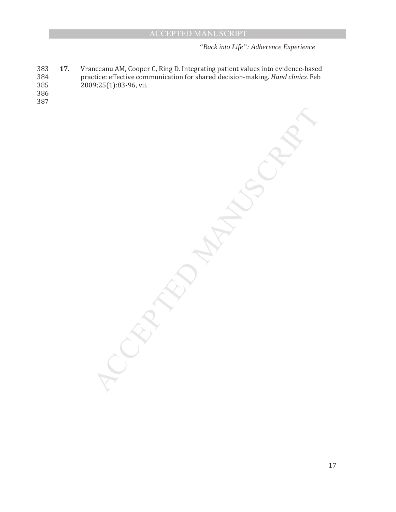*"Back into Life": Adherence Experience* 

MANUSCRIPT

383 17. Vranceanu AM, Cooper C, Ring D. Integrating patient values into evidence-based 384 practice: effective communication for shared decision-making. Hand clinics. Feb  $385$  2009;25(1):83-96, vii.

**PCCEPTED** 

386 387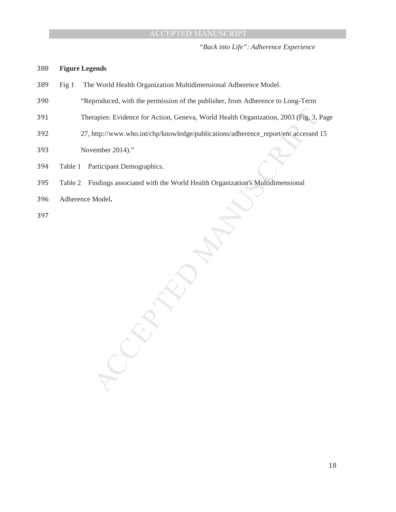*"Back into Life": Adherence Experience* 

#### 388 **Figure Legends**

- 389 Fig 1 The World Health Organization Multidimensional Adherence Model.
- 390 "Reproduced, with the permission of the publisher, from Adherence to Long-Term
- 391 Therapies: Evidence for Action, Geneva, World Health Organization, 2003 (Fig. 3, Page
- va, World Health Organization, 2003 (Fig. 3, 1<br>
1/publications/adherence\_report/en/ accessed<br>
Health Organization's Multidimensional 392 27, http://www.who.int/chp/knowledge/publications/adherence\_report/en/ accessed 15
- 393 November 2014)."
- 394 Table 1 Participant Demographics.
- 395 Table 2 Findings associated with the World Health Organization's Multidimensional

ACCEPTED

396 Adherence Model.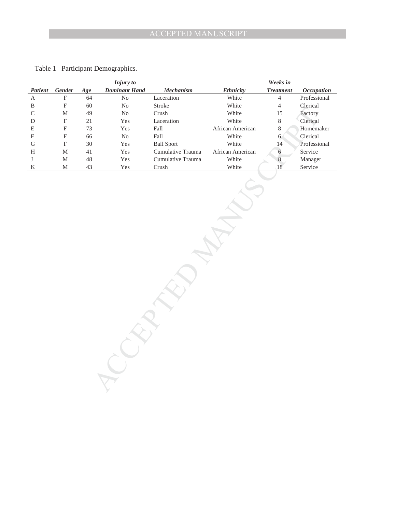|               |                           |     | <b>Injury</b> to     |                   |                  | Weeks in         |                   |
|---------------|---------------------------|-----|----------------------|-------------------|------------------|------------------|-------------------|
| Patient       | Gender                    | Age | <b>Dominant Hand</b> | <b>Mechanism</b>  | <b>Ethnicity</b> | <b>Treatment</b> | <b>Occupation</b> |
| A             | F                         | 64  | No                   | Laceration        | White            | $\overline{4}$   | Professional      |
| B             | F                         | 60  | No                   | Stroke            | White            | 4                | Clerical          |
| $\mathcal{C}$ | M                         | 49  | N <sub>o</sub>       | Crush             | White            | 15               | Factory           |
| D             | F                         | 21  | Yes                  | Laceration        | White            | 8                | Clerical          |
| E             | F                         | 73  | Yes                  | Fall              | African American | 8                | Homemaker         |
| $_{\rm F}$    | F                         | 66  | No                   | Fall              | White            | 6                | Clerical          |
| G             | $\boldsymbol{\mathrm{F}}$ | 30  | Yes                  | <b>Ball Sport</b> | White            | 14               | Professional      |
| H             | M                         | 41  | Yes                  | Cumulative Trauma | African American | 6                | Service           |
| J             | M                         | 48  | Yes                  | Cumulative Trauma | White            | 8                | Manager           |
| K             | M                         | 43  | Yes                  | Crush             | White            | 18               | Service           |
|               |                           |     |                      |                   |                  |                  |                   |

**PCCEPTED** 

Table 1 Participant Demographics.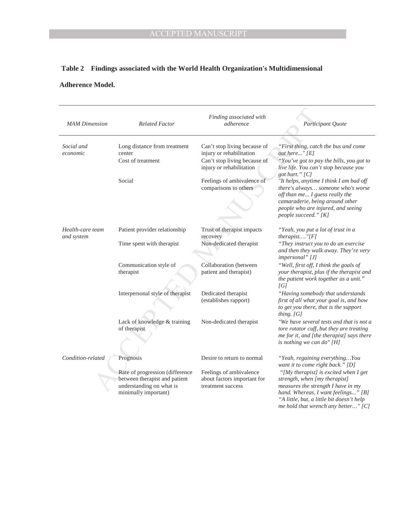# **Table 2 Findings associated with the World Health Organization's Multidimensional**

### **Adherence Model.**

| <b>MAM</b> Dimension           | <b>Related Factor</b>                                                                                                | Finding associated with<br>adherence                                                                                 | Participant Quote                                                                                                                                                                                                                       |
|--------------------------------|----------------------------------------------------------------------------------------------------------------------|----------------------------------------------------------------------------------------------------------------------|-----------------------------------------------------------------------------------------------------------------------------------------------------------------------------------------------------------------------------------------|
|                                |                                                                                                                      |                                                                                                                      |                                                                                                                                                                                                                                         |
| Social and<br>economic         | Long distance from treatment<br>center<br>Cost of treatment                                                          | Can't stop living because of<br>injury or rehabilitation<br>Can't stop living because of<br>injury or rehabilitation | "First thing, catch the bus and come<br>out here" $[E]$<br>"You've got to pay the bills, you got to<br>live life. You can't stop because you                                                                                            |
|                                | Social                                                                                                               | Feelings of ambivalence of<br>comparisons to others                                                                  | got hurt." [C]<br>"It helps, anytime I think I am bad off<br>there's always someone who's worse<br>off than me I guess really the<br>camaraderie, being around other<br>people who are injured, and seeing<br>people succeed." [K]      |
| Health-care team<br>and system | Patient provider relationship                                                                                        | Trust of therapist impacts<br>recovery                                                                               | "Yeah, you put a lot of trust in a<br>$therapist$ "[ $F$ ]                                                                                                                                                                              |
|                                | Time spent with therapist                                                                                            | Non-dedicated therapist                                                                                              | "They instruct you to do an exercise<br>and then they walk away. They're very<br>impersonal" [J]                                                                                                                                        |
|                                | Communication style of<br>therapist                                                                                  | Collaboration (between<br>patient and therapist)                                                                     | "Well, first off, I think the goals of<br>your therapist, plus if the therapist and<br>the patient work together as a unit."<br>[G]                                                                                                     |
|                                | Interpersonal style of therapist                                                                                     | Dedicated therapist<br>(establishes rapport)                                                                         | "Having somebody that understands<br>first of all what your goal is, and how<br>to get you there, that is the support<br>thing. $[G]$                                                                                                   |
|                                | Lack of knowledge & training<br>of therapist                                                                         | Non-dedicated therapist                                                                                              | "We have several tests and that is not a<br>tore rotator cuff, but they are treating<br>me for it, and [the therapist] says there<br>is nothing we can do" [H]                                                                          |
| Condition-related              | Prognosis                                                                                                            | Desire to return to normal                                                                                           | "Yeah, regaining everythingYou<br>want it to come right back." [D]                                                                                                                                                                      |
|                                | Rate of progression (difference<br>between therapist and patient<br>understanding on what is<br>minimally important) | Feelings of ambivalence<br>about factors important for<br>treatment success                                          | "[My therapist] is excited when I get<br>strength, when [my therapist]<br>measures the strength I have in my<br>hand. Whereas, I want feelings" [B]<br>"A little, but, a little bit doesn't help<br>me hold that wrench any better" [C] |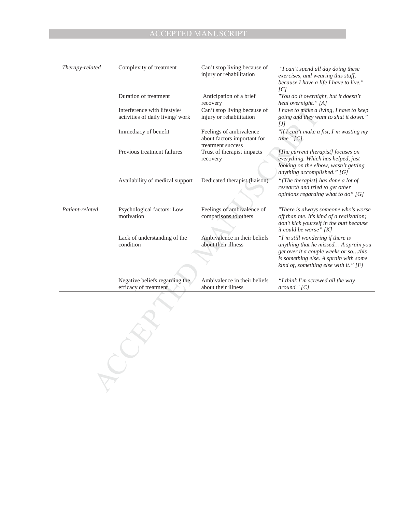| Therapy-related | Complexity of treatment                                         | Can't stop living because of<br>injury or rehabilitation                    | "I can't spend all day doing these<br>exercises, and wearing this stuff,<br>because I have a life I have to live."                                                                                 |
|-----------------|-----------------------------------------------------------------|-----------------------------------------------------------------------------|----------------------------------------------------------------------------------------------------------------------------------------------------------------------------------------------------|
|                 | Duration of treatment                                           | Anticipation of a brief<br>recovery                                         | CI <br>"You do it overnight, but it doesn't<br>heal overnight." [A]                                                                                                                                |
|                 | Interference with lifestyle/<br>activities of daily living/work | Can't stop living because of<br>injury or rehabilitation                    | I have to make a living, I have to keep<br>going and they want to shut it down."<br>[J]                                                                                                            |
|                 | Immediacy of benefit                                            | Feelings of ambivalence<br>about factors important for<br>treatment success | "If I can't make a fist, I'm wasting my<br>time." $[C]$                                                                                                                                            |
|                 | Previous treatment failures                                     | Trust of therapist impacts<br>recovery                                      | [The current therapist] focuses on<br>everything. Which has helped, just<br>looking on the elbow, wasn't getting<br>anything accomplished." [G]                                                    |
|                 | Availability of medical support                                 | Dedicated therapist (liaison)                                               | "[The therapist] has done a lot of<br>research and tried to get other<br>opinions regarding what to do" [G]                                                                                        |
| Patient-related | Psychological factors: Low<br>motivation                        | Feelings of ambivalence of<br>comparisons to others                         | "There is always someone who's worse<br>off than me. It's kind of a realization;<br>don't kick yourself in the butt because<br>it could be worse" [K]                                              |
|                 | Lack of understanding of the<br>condition                       | Ambivalence in their beliefs<br>about their illness                         | "I'm still wondering if there is<br>anything that he missed A sprain you<br>get over it a couple weeks or sothis<br>is something else. A sprain with some<br>kind of, something else with it." [F] |
|                 | Negative beliefs regarding the<br>efficacy of treatment         | Ambivalence in their beliefs<br>about their illness                         | "I think I'm screwed all the way<br>around." $[C]$                                                                                                                                                 |
|                 |                                                                 |                                                                             |                                                                                                                                                                                                    |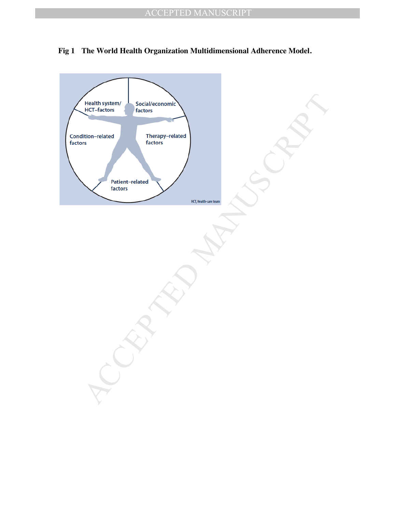

#### **Fig 1 The World Health Organization Multidimensional Adherence Model.**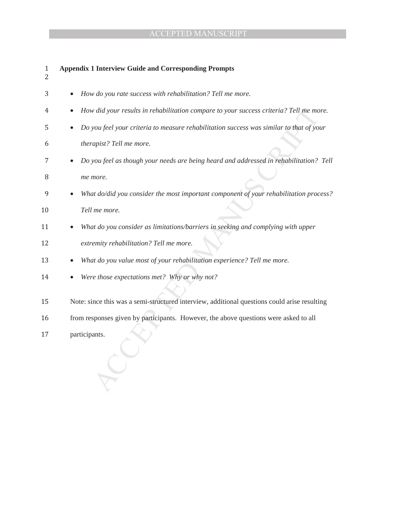| $\mathbf{1}$<br>2 | <b>Appendix 1 Interview Guide and Corresponding Prompts</b>                                  |
|-------------------|----------------------------------------------------------------------------------------------|
| 3                 | How do you rate success with rehabilitation? Tell me more.                                   |
| 4                 | How did your results in rehabilitation compare to your success criteria? Tell me more.       |
| 5                 | Do you feel your criteria to measure rehabilitation success was similar to that of your      |
| 6                 | therapist? Tell me more.                                                                     |
| 7                 | Do you feel as though your needs are being heard and addressed in rehabilitation? Tell       |
| 8                 | me more.                                                                                     |
| 9                 | What do/did you consider the most important component of your rehabilitation process?        |
| 10                | Tell me more.                                                                                |
| 11                | What do you consider as limitations/barriers in seeking and complying with upper             |
| 12                | extremity rehabilitation? Tell me more.                                                      |
| 13                | What do you value most of your rehabilitation experience? Tell me more.                      |
| 14                | Were those expectations met? Why or why not?                                                 |
| 15                | Note: since this was a semi-structured interview, additional questions could arise resulting |
| 16                | from responses given by participants. However, the above questions were asked to all         |
| 17                | participants.                                                                                |
|                   |                                                                                              |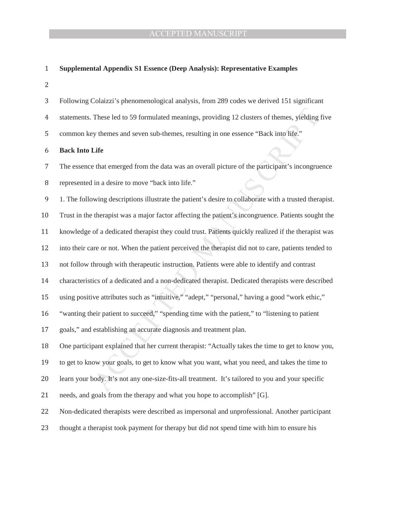#### ͳ **Supplemental Appendix S1 Essence (Deep Analysis): Representative Examples**

ʹ

| 3              | Following Colaizzi's phenomenological analysis, from 289 codes we derived 151 significant              |
|----------------|--------------------------------------------------------------------------------------------------------|
| $\overline{4}$ | statements. These led to 59 formulated meanings, providing 12 clusters of themes, yielding five        |
| 5              | common key themes and seven sub-themes, resulting in one essence "Back into life."                     |
| 6              | <b>Back Into Life</b>                                                                                  |
| 7              | The essence that emerged from the data was an overall picture of the participant's incongruence        |
| 8              | represented in a desire to move "back into life."                                                      |
| 9              | 1. The following descriptions illustrate the patient's desire to collaborate with a trusted therapist. |
| 10             | Trust in the therapist was a major factor affecting the patient's incongruence. Patients sought the    |
| 11             | knowledge of a dedicated therapist they could trust. Patients quickly realized if the therapist was    |
| 12             | into their care or not. When the patient perceived the therapist did not to care, patients tended to   |
| 13             | not follow through with therapeutic instruction. Patients were able to identify and contrast           |
| 14             | characteristics of a dedicated and a non-dedicated therapist. Dedicated therapists were described      |
| 15             | using positive attributes such as "intuitive," "adept," "personal," having a good "work ethic,"        |
| 16             | "wanting their patient to succeed," "spending time with the patient," to "listening to patient         |
| 17             | goals," and establishing an accurate diagnosis and treatment plan.                                     |
| 18             | One participant explained that her current therapist: "Actually takes the time to get to know you,     |
| 19             | to get to know your goals, to get to know what you want, what you need, and takes the time to          |
| 20             | learn your body. It's not any one-size-fits-all treatment. It's tailored to you and your specific      |
| 21             | needs, and goals from the therapy and what you hope to accomplish" [G].                                |
| 22             | Non-dedicated therapists were described as impersonal and unprofessional. Another participant          |
| 23             | thought a therapist took payment for therapy but did not spend time with him to ensure his             |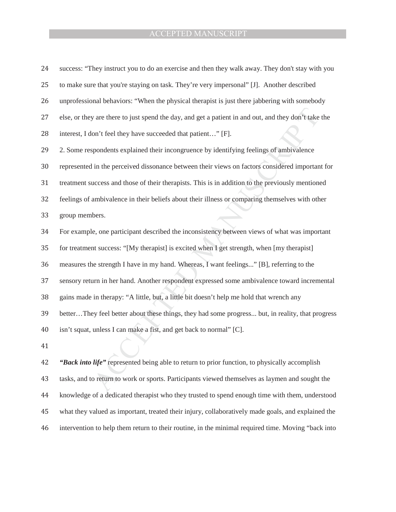| 24 | success: "They instruct you to do an exercise and then they walk away. They don't stay with you      |
|----|------------------------------------------------------------------------------------------------------|
| 25 | to make sure that you're staying on task. They're very impersonal" [J]. Another described            |
| 26 | unprofessional behaviors: "When the physical therapist is just there jabbering with somebody         |
| 27 | else, or they are there to just spend the day, and get a patient in and out, and they don't take the |
| 28 | interest, I don't feel they have succeeded that patient" [F].                                        |
| 29 | 2. Some respondents explained their incongruence by identifying feelings of ambivalence              |
| 30 | represented in the perceived dissonance between their views on factors considered important for      |
| 31 | treatment success and those of their therapists. This is in addition to the previously mentioned     |
| 32 | feelings of ambivalence in their beliefs about their illness or comparing themselves with other      |
| 33 | group members.                                                                                       |
| 34 | For example, one participant described the inconsistency between views of what was important         |
| 35 | for treatment success: "[My therapist] is excited when I get strength, when [my therapist]           |
| 36 | measures the strength I have in my hand. Whereas, I want feelings" [B], referring to the             |
| 37 | sensory return in her hand. Another respondent expressed some ambivalence toward incremental         |
| 38 | gains made in therapy: "A little, but, a little bit doesn't help me hold that wrench any             |
| 39 | betterThey feel better about these things, they had some progress but, in reality, that progress     |
| 40 | isn't squat, unless I can make a fist, and get back to normal" [C].                                  |
| 41 |                                                                                                      |
| 42 | "Back into life" represented being able to return to prior function, to physically accomplish        |
| 43 | tasks, and to return to work or sports. Participants viewed themselves as laymen and sought the      |
|    |                                                                                                      |

43 tasks, and to return to work or sports. Participants viewed themselves as laymen and sought the 44 knowledge of a dedicated therapist who they trusted to spend enough time with them, understood 45 what they valued as important, treated their injury, collaboratively made goals, and explained the 46 intervention to help them return to their routine, in the minimal required time. Moving "back into